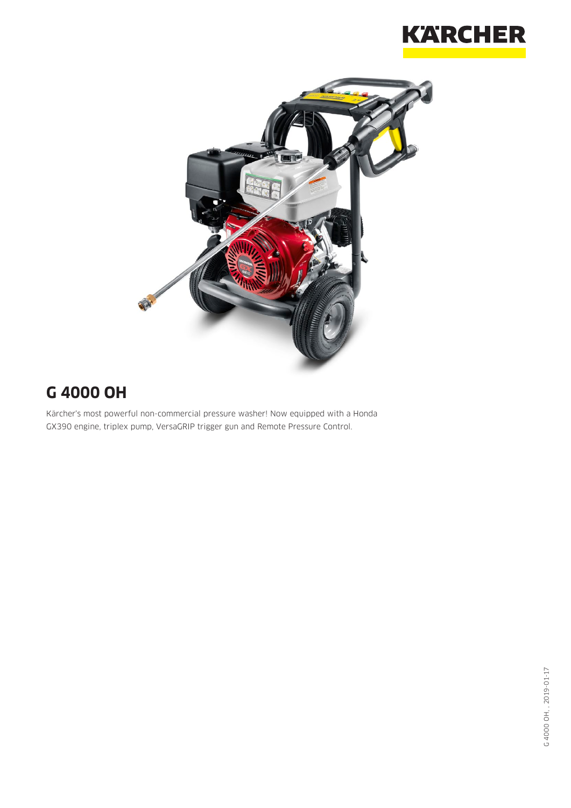



## **G 4000 OH**

Kärcher's most powerful non-commercial pressure washer! Now equipped with a Honda GX390 engine, triplex pump, VersaGRIP trigger gun and Remote Pressure Control.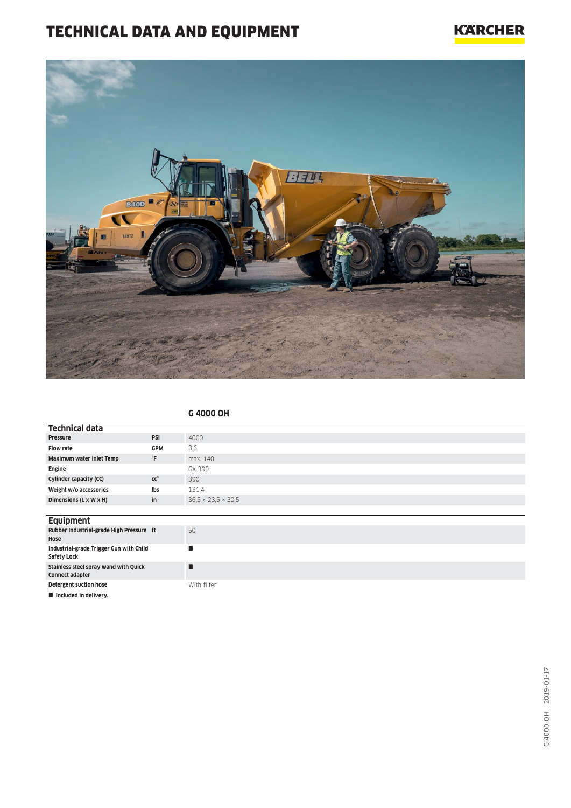## TECHNICAL DATA AND EQUIPMENT



|                                                                 |                    | G 4000 OH                      |
|-----------------------------------------------------------------|--------------------|--------------------------------|
| <b>Technical data</b>                                           |                    |                                |
| Pressure                                                        | PSI                | 4000                           |
| <b>Flow rate</b>                                                | <b>GPM</b>         | 3,6                            |
| Maximum water inlet Temp                                        | $^\circ\mathsf{F}$ | max. 140                       |
| Engine                                                          |                    | GX 390                         |
| Cylinder capacity (CC)                                          | cc <sup>3</sup>    | 390                            |
| Weight w/o accessories                                          | Ibs                | 131,4                          |
| Dimensions (L x W x H)                                          | in                 | $36.5 \times 23.5 \times 30.5$ |
|                                                                 |                    |                                |
| <b>Equipment</b>                                                |                    |                                |
| Rubber Industrial-grade High Pressure ft<br>Hose                |                    | 50                             |
| Industrial-grade Trigger Gun with Child<br>Safety Lock          |                    | п                              |
| Stainless steel spray wand with Quick<br><b>Connect adapter</b> |                    | п                              |
| <b>Detergent suction hose</b>                                   |                    | With filter                    |
| Included in delivery.                                           |                    |                                |